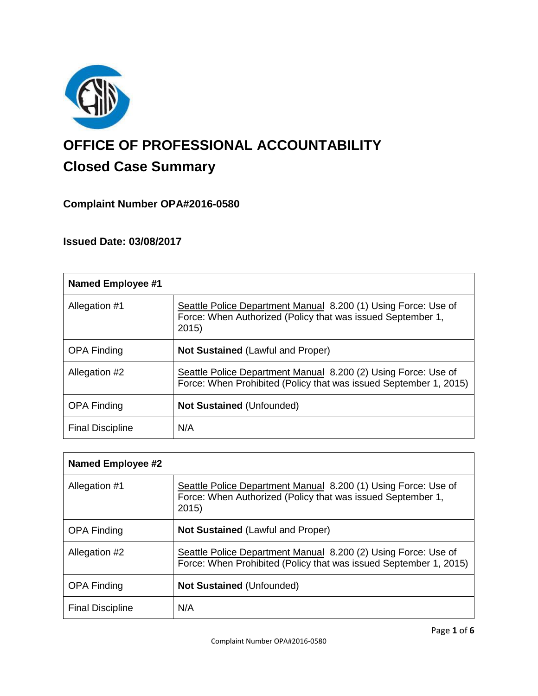

# **OFFICE OF PROFESSIONAL ACCOUNTABILITY Closed Case Summary**

# **Complaint Number OPA#2016-0580**

# **Issued Date: 03/08/2017**

| <b>Named Employee #1</b> |                                                                                                                                        |
|--------------------------|----------------------------------------------------------------------------------------------------------------------------------------|
| Allegation #1            | Seattle Police Department Manual 8.200 (1) Using Force: Use of<br>Force: When Authorized (Policy that was issued September 1,<br>2015) |
| <b>OPA Finding</b>       | <b>Not Sustained (Lawful and Proper)</b>                                                                                               |
| Allegation #2            | Seattle Police Department Manual 8.200 (2) Using Force: Use of<br>Force: When Prohibited (Policy that was issued September 1, 2015)    |
| <b>OPA Finding</b>       | <b>Not Sustained (Unfounded)</b>                                                                                                       |
| <b>Final Discipline</b>  | N/A                                                                                                                                    |

| Named Employee #2       |                                                                                                                                       |
|-------------------------|---------------------------------------------------------------------------------------------------------------------------------------|
| Allegation #1           | Seattle Police Department Manual 8.200 (1) Using Force: Use of<br>Force: When Authorized (Policy that was issued September 1,<br>2015 |
| <b>OPA Finding</b>      | <b>Not Sustained (Lawful and Proper)</b>                                                                                              |
| Allegation #2           | Seattle Police Department Manual 8.200 (2) Using Force: Use of<br>Force: When Prohibited (Policy that was issued September 1, 2015)   |
| <b>OPA Finding</b>      | <b>Not Sustained (Unfounded)</b>                                                                                                      |
| <b>Final Discipline</b> | N/A                                                                                                                                   |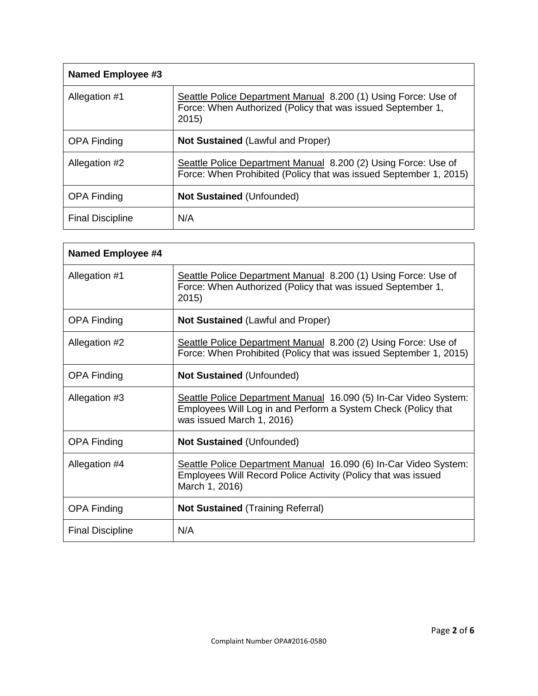| <b>Named Employee #3</b> |                                                                                                                                        |
|--------------------------|----------------------------------------------------------------------------------------------------------------------------------------|
| Allegation #1            | Seattle Police Department Manual 8.200 (1) Using Force: Use of<br>Force: When Authorized (Policy that was issued September 1,<br>2015) |
| <b>OPA Finding</b>       | <b>Not Sustained (Lawful and Proper)</b>                                                                                               |
| Allegation #2            | Seattle Police Department Manual 8.200 (2) Using Force: Use of<br>Force: When Prohibited (Policy that was issued September 1, 2015)    |
| <b>OPA Finding</b>       | <b>Not Sustained (Unfounded)</b>                                                                                                       |
| <b>Final Discipline</b>  | N/A                                                                                                                                    |

| <b>Named Employee #4</b> |                                                                                                                                                                |
|--------------------------|----------------------------------------------------------------------------------------------------------------------------------------------------------------|
| Allegation #1            | Seattle Police Department Manual 8.200 (1) Using Force: Use of<br>Force: When Authorized (Policy that was issued September 1,<br>2015)                         |
| <b>OPA Finding</b>       | <b>Not Sustained (Lawful and Proper)</b>                                                                                                                       |
| Allegation #2            | Seattle Police Department Manual 8.200 (2) Using Force: Use of<br>Force: When Prohibited (Policy that was issued September 1, 2015)                            |
| <b>OPA Finding</b>       | Not Sustained (Unfounded)                                                                                                                                      |
| Allegation #3            | Seattle Police Department Manual 16.090 (5) In-Car Video System:<br>Employees Will Log in and Perform a System Check (Policy that<br>was issued March 1, 2016) |
| <b>OPA Finding</b>       | <b>Not Sustained (Unfounded)</b>                                                                                                                               |
| Allegation #4            | Seattle Police Department Manual 16.090 (6) In-Car Video System:<br>Employees Will Record Police Activity (Policy that was issued<br>March 1, 2016)            |
| <b>OPA Finding</b>       | <b>Not Sustained (Training Referral)</b>                                                                                                                       |
| <b>Final Discipline</b>  | N/A                                                                                                                                                            |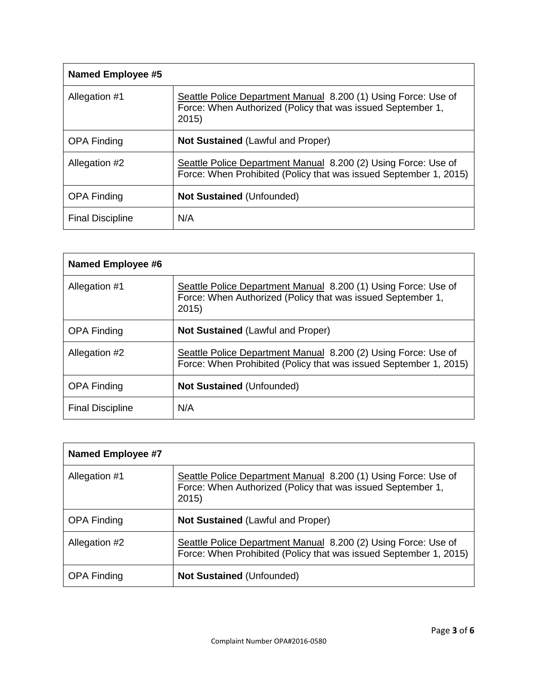| <b>Named Employee #5</b> |                                                                                                                                        |
|--------------------------|----------------------------------------------------------------------------------------------------------------------------------------|
| Allegation #1            | Seattle Police Department Manual 8.200 (1) Using Force: Use of<br>Force: When Authorized (Policy that was issued September 1,<br>2015) |
| <b>OPA Finding</b>       | <b>Not Sustained (Lawful and Proper)</b>                                                                                               |
| Allegation #2            | Seattle Police Department Manual 8.200 (2) Using Force: Use of<br>Force: When Prohibited (Policy that was issued September 1, 2015)    |
| <b>OPA Finding</b>       | <b>Not Sustained (Unfounded)</b>                                                                                                       |
| <b>Final Discipline</b>  | N/A                                                                                                                                    |

| Named Employee #6       |                                                                                                                                        |
|-------------------------|----------------------------------------------------------------------------------------------------------------------------------------|
| Allegation #1           | Seattle Police Department Manual 8.200 (1) Using Force: Use of<br>Force: When Authorized (Policy that was issued September 1,<br>2015) |
| <b>OPA Finding</b>      | <b>Not Sustained (Lawful and Proper)</b>                                                                                               |
| Allegation #2           | Seattle Police Department Manual 8.200 (2) Using Force: Use of<br>Force: When Prohibited (Policy that was issued September 1, 2015)    |
| <b>OPA Finding</b>      | <b>Not Sustained (Unfounded)</b>                                                                                                       |
| <b>Final Discipline</b> | N/A                                                                                                                                    |

| <b>Named Employee #7</b> |                                                                                                                                        |
|--------------------------|----------------------------------------------------------------------------------------------------------------------------------------|
| Allegation #1            | Seattle Police Department Manual 8.200 (1) Using Force: Use of<br>Force: When Authorized (Policy that was issued September 1,<br>2015) |
| <b>OPA Finding</b>       | Not Sustained (Lawful and Proper)                                                                                                      |
| Allegation #2            | Seattle Police Department Manual 8.200 (2) Using Force: Use of<br>Force: When Prohibited (Policy that was issued September 1, 2015)    |
| <b>OPA Finding</b>       | <b>Not Sustained (Unfounded)</b>                                                                                                       |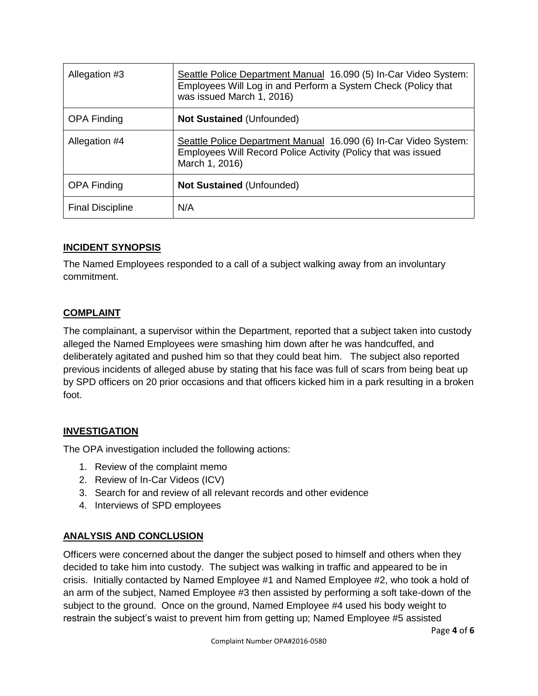| Allegation #3           | Seattle Police Department Manual 16.090 (5) In-Car Video System:<br>Employees Will Log in and Perform a System Check (Policy that<br>was issued March 1, 2016) |
|-------------------------|----------------------------------------------------------------------------------------------------------------------------------------------------------------|
| <b>OPA Finding</b>      | <b>Not Sustained (Unfounded)</b>                                                                                                                               |
| Allegation #4           | Seattle Police Department Manual 16.090 (6) In-Car Video System:<br>Employees Will Record Police Activity (Policy that was issued<br>March 1, 2016)            |
| <b>OPA Finding</b>      | <b>Not Sustained (Unfounded)</b>                                                                                                                               |
| <b>Final Discipline</b> | N/A                                                                                                                                                            |

## **INCIDENT SYNOPSIS**

The Named Employees responded to a call of a subject walking away from an involuntary commitment.

## **COMPLAINT**

The complainant, a supervisor within the Department, reported that a subject taken into custody alleged the Named Employees were smashing him down after he was handcuffed, and deliberately agitated and pushed him so that they could beat him. The subject also reported previous incidents of alleged abuse by stating that his face was full of scars from being beat up by SPD officers on 20 prior occasions and that officers kicked him in a park resulting in a broken foot.

# **INVESTIGATION**

The OPA investigation included the following actions:

- 1. Review of the complaint memo
- 2. Review of In-Car Videos (ICV)
- 3. Search for and review of all relevant records and other evidence
- 4. Interviews of SPD employees

# **ANALYSIS AND CONCLUSION**

Officers were concerned about the danger the subject posed to himself and others when they decided to take him into custody. The subject was walking in traffic and appeared to be in crisis. Initially contacted by Named Employee #1 and Named Employee #2, who took a hold of an arm of the subject, Named Employee #3 then assisted by performing a soft take-down of the subject to the ground. Once on the ground, Named Employee #4 used his body weight to restrain the subject's waist to prevent him from getting up; Named Employee #5 assisted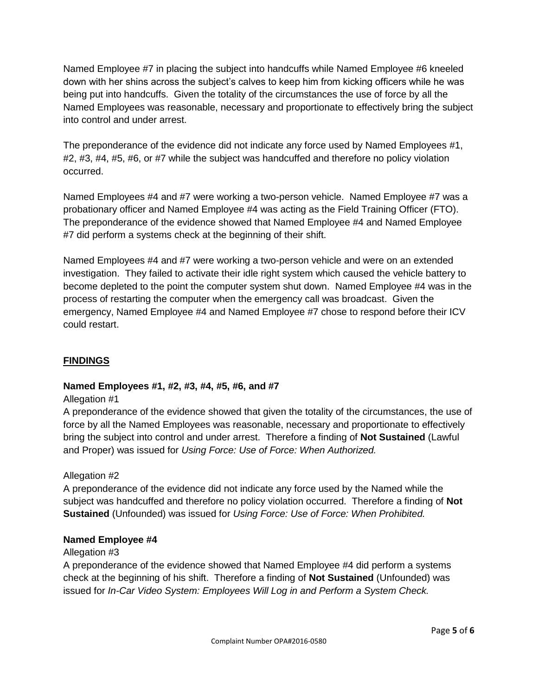Named Employee #7 in placing the subject into handcuffs while Named Employee #6 kneeled down with her shins across the subject's calves to keep him from kicking officers while he was being put into handcuffs. Given the totality of the circumstances the use of force by all the Named Employees was reasonable, necessary and proportionate to effectively bring the subject into control and under arrest.

The preponderance of the evidence did not indicate any force used by Named Employees #1, #2, #3, #4, #5, #6, or #7 while the subject was handcuffed and therefore no policy violation occurred.

Named Employees #4 and #7 were working a two-person vehicle. Named Employee #7 was a probationary officer and Named Employee #4 was acting as the Field Training Officer (FTO). The preponderance of the evidence showed that Named Employee #4 and Named Employee #7 did perform a systems check at the beginning of their shift.

Named Employees #4 and #7 were working a two-person vehicle and were on an extended investigation. They failed to activate their idle right system which caused the vehicle battery to become depleted to the point the computer system shut down. Named Employee #4 was in the process of restarting the computer when the emergency call was broadcast. Given the emergency, Named Employee #4 and Named Employee #7 chose to respond before their ICV could restart.

# **FINDINGS**

# **Named Employees #1, #2, #3, #4, #5, #6, and #7**

#### Allegation #1

A preponderance of the evidence showed that given the totality of the circumstances, the use of force by all the Named Employees was reasonable, necessary and proportionate to effectively bring the subject into control and under arrest. Therefore a finding of **Not Sustained** (Lawful and Proper) was issued for *Using Force: Use of Force: When Authorized.*

#### Allegation #2

A preponderance of the evidence did not indicate any force used by the Named while the subject was handcuffed and therefore no policy violation occurred. Therefore a finding of **Not Sustained** (Unfounded) was issued for *Using Force: Use of Force: When Prohibited.*

#### **Named Employee #4**

#### Allegation #3

A preponderance of the evidence showed that Named Employee #4 did perform a systems check at the beginning of his shift. Therefore a finding of **Not Sustained** (Unfounded) was issued for *In-Car Video System: Employees Will Log in and Perform a System Check.*